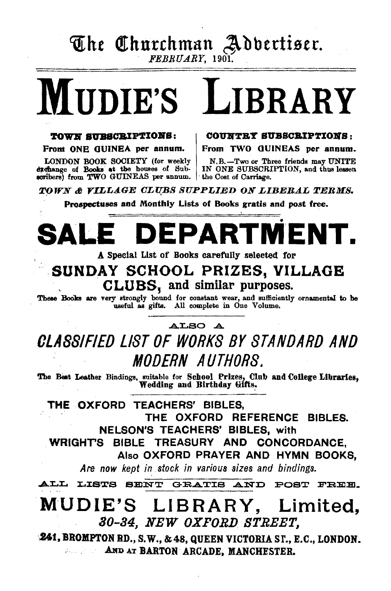## The Churchman Adbertiser.

FEBRUARY, 1901.

# **MIDIE'S LIBRARY**

#### **TOWN SUBSCRIPTIONS:**

From ONE GUINEA per annum.

LONDON BOOK SOCIETY (for weekly N.B.-Two or The exchange of Books at the houses of Sub- IN ONE SUBSCRI scribers) from TWO GUINEAS per annum.

COUNTRY SUBSCRIPTIONS:

From TWO GUINEAS per annum.

N.B.-Two or Three friends may UNITE<br>IN ONE SUBSCRIPTION, and thus lessen

TOWN & VILLAGE CLUBS SUPPLIED ON LIBERAL TERMS.

Prospectuses and Monthly Lists of Books gratis and post free.

#### DEPARTMEI ALI  $\blacksquare$

A Special List of Books carefully selected for

### SUNDAY SCHOOL PRIZES, VILLAGE CLUBS, and similar purposes.

These Books are very strongly bound for constant wear, and sufficiently ornamental to be useful as gifts. All complete in One Volume.

#### ALSO A

CLASSIFIED LIST OF WORKS BY STANDARD AND *MODERN AUTHORS.* 

The Best Leather Bindings, suitable for School Prizes, Club and College Libraries,<br>Wedding and Birthday Gifts.

THE OXFORD TEACHERS' BIBLES. THE OXFORD REFERENCE BIBLES. **NELSON'S TEACHERS' BIBLES, with** 

WRIGHT'S BIBLE TREASURY AND CONCORDANCE,

Also OXFORD PRAYER AND HYMN BOOKS.

Are now kept in stock in various sizes and bindings.

ALL LISTS SENT GRATIS AND POST FREE.

### MUDIE'S LIBRARY, Limited, 30-34, NEW OXFORD STREET,

**241, BROMPTON RD., S.W., & 48, QUEEN VICTORIA ST., E.C., LONDON. AND AT BARTON ARCADE. MANCHESTER.**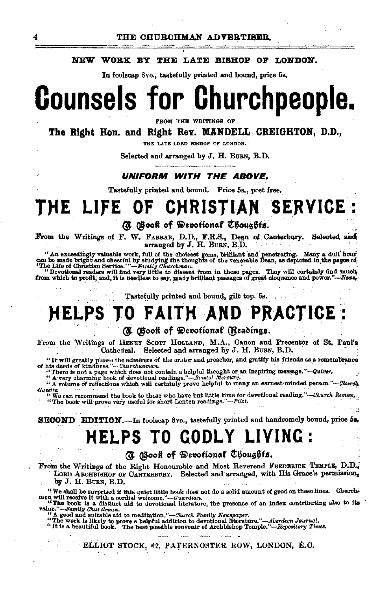#### NEW WORK BY THE LATE BISHOP OF LONDON.

In foolscap 8vo., tastefully printed and bound, price 5s,

## **Counsels for Churchpeople.**

FROM THE WRITINGS OF

#### The Right Hon. and Right Rev. MANDELL CREIGHTON, D.D.,

THE LATE LOBD BISHOP OF LONDON.

Selected and arranged by J. H. BURN, B.D.

#### UNIFORM WITH THE ABOVE.

Tastefully printed and bound. Price 5s., post free.

#### THE LIFE **SERVICE: CHRISTIAN** OF

**(3)** Gooff of Devotional Choughts.

From the Writings of F. W. FARRAR, D.D., F.R.S., Dean of Canterbury. Selected and arranged by J. H. BURN, B.D.

" An exceedingly valuable work, full of the choicest gems, brilliant and penetrating. Many a dull hour can be made bright and cheerful by studying the thoughts of the venerable Dean, as depicted in the pages of "The Lite

Tastefully printed and bound, gilt top, bs.

### **HELPS TO FAITH AND PRACTICE:**

#### (N Obook of Devotional (Readings.

From the Writings of HENRY SCOTT HOLLAND, M.A., Canon and Precentor of St. Paul's Cathedral. Selected and arranged by J. H. BURN, B.D.

"It will greatly please the admirers of the orator and preacher, and gratify his friends as a remembrance of his deeds of kindness." $\ldots$ Churchwoman.

his deeds of kindness. — Churchwoman.<br>"There is not a page which does not contain a helpful thought or an inspiring message."—Quiver,<br>"A very charming book of devotional readings."—Bristol Mercury.<br>"A volume of reflections Gazette,

"We can recommend the book to those who have but little time for devotional reading."-Church Review. "The book will prove very useful for short Lenten readings."-Pilot.

**SECOND** EDITION.—In foolscap 8vo., tastefully printed and handsomely bound, price 5a.

### **HELPS TO GODLY LIVING:**

#### (A Book of Devotional Choughts.

From the Writings of the Right Honourable and Most Reverend FREDERICK TEMPLE, D.D., LORD ARCHBISHOP OF CANTERBURY. Selected and arranged, with His Grace's permission, by J. H. BURN, B.D.

"We shall be surprised if this quiet little book does not do a solid amount of good on these lines. Church-<br>men will receive it with a cordial welcome."—Guardian.<br>"The book is a distinct aid to devotional literature, the

value."-Remily Churchman. same to according."-Church Family Newspaper.<br>"A good and suitable aid to meditation."-Church Family Newspaper.<br>"A good and suitable aid to meditation."-Church Family Newspaper.<br>"It is a beautiful

ELLIOT STOCK, 62, PATERNOSTER ROW, LONDON, E.C. ki kirj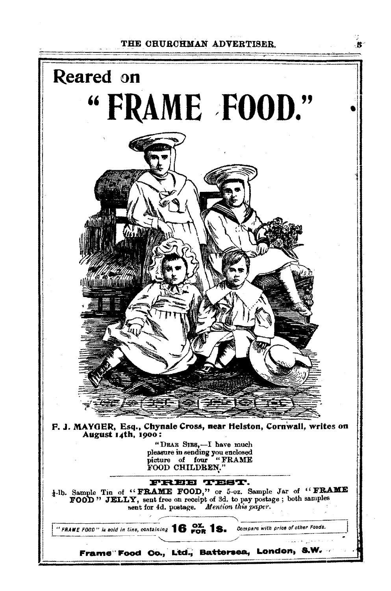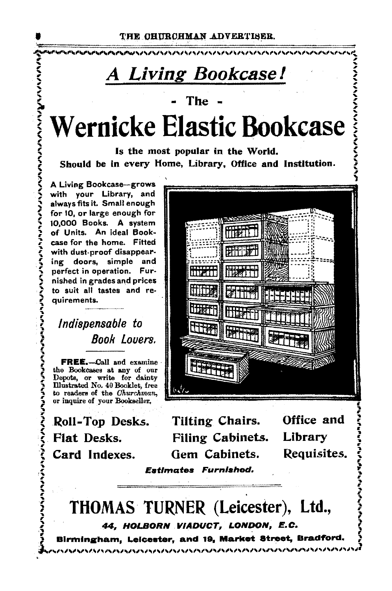### A Living Bookcase!

The -

Wernicke Elastic Bookcase

Is the most popular in the World. Should be in every Home. Library, Office and Institution.

A Living Bookcase-grows with your Library, and always fits it. Small enough for 10, or large enough for 10.000 Books. A system of Units. An ideal Bookcase for the home. Fitted with dust-proof disappearing doors, simple and perfect in operation. Furnished in grades and prices to suit all tastes and requirements.

こうきょうこう アイスト アイス・アイス アイス・アイス アイン・アイン アイン・アイン アイン・アイン

Indispensable to Book Lovers.

FREE.-Call and examine the Bookcases at any of our Depots, or write for dainty<br>Illustrated No. 40 Booklet, free to readers of the Churchman, or inquire of your Bookseller,

Roll-Top Desks. **Flat Desks.** Card Indexes.



**Tilting Chairs. Filing Cabinets.** Gem Cabinets. **Estimates Furnished.** 

Office and Library Requisites.

THOMAS TURNER (Leicester), Ltd., 44, HOLBORN VIADUCT, LONDON, E.C.

ハハハハハ

Birmingham, Leicester, and 19, Market Street, Bradford.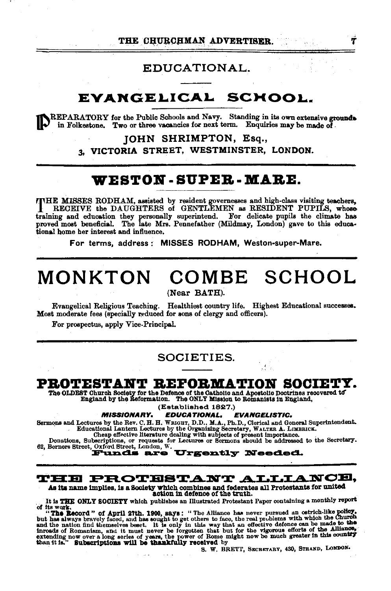#### EDUCATIONAL.

### **EVANGELICAL SCHOOL.**

 $\chi^{\text{REPARATION}}$  for the Public Schools and Navy. Standing in its own extensive grounds in Folkestone. Two or three vacancies for next term. Enquiries may be made of

#### JOHN SHRIMPTON, Esq.,

3, VICTORIA STREET, WESTMINSTER, LONDON.

#### **WESTON· SUPEB ·MABE.**

THE MISSES RODHAM, assisted by resident governesses and high-class visiting teachers,<br>
RECEIVE the DAUGHTERS of GENTLEMEN as RESIDENT PUPILS, whose training and education they personally superintend. For delicate pupils the climate bas proved most beneficial. The late Mrs. Pennefather (Mildmay, London) gave to this educa• tiona! home her interest and influence.

For terms, address: MISSES RODHAM, Weston-super-Mare.

### **MONKTON COMBE SCHOOL**

(Near BATH).

Evangelical Religious Teaching. Healthiest country life. Highest Educational successes. Most moderate fees (specially r:educed for sons of clergy and officers).

For prospectus, apply Vice-Principal.

#### SOCIETIES.

#### PROTESTANT REFORMATION SOCIETY.

The OLDEST Ohuroh Soo1ety for the Defence of the Oathollo and Apostolic Doctrines recovered tcr England by the Reformation. The ONLY Mission to Roman1sts 1n England,

#### (Established 1827.)<br>**EDUCATIONAL.** EVANGELISTIC. MISSIONARY. EDUCATIONAL.

Sermons and Lectures by the Rev. C. H. H. WRIGHT, D.D., M.A., Ph.D., Clerical and General Superintendent.<br>
Educational Lantern Lectures by the Organizing Secretary, WALTER A. LIMBRICK.<br>
Cheap effective literature dealing w

Cheap effective literature dealing with subjects of present importance.<br>Donations, Subscriptions, or requests for Lectures or Sermons should be addressed to the Secretary.<br>62, Berners Street, Oxford Street, London, W.<br>**Fun** 

#### $\mathtt{THB}~\mathtt{PROTBSTANT}~\mathtt{ALLLA}~\mathtt{NOE},$

As its name implies, is a Society which combines and federates all Protestants for united<br>action in defence of the truth.

It is THE ONLY SOCIETY which publishes an Illustrated Protestant Paper containing a monthly report of its work.

"The Record " of April 27th. 1900, says: " The Alliance has never pursued an ostrich-like policy,<br>but has always bravely faced, and has sought to get others to face, the real problems with which the Church<br>and the nation f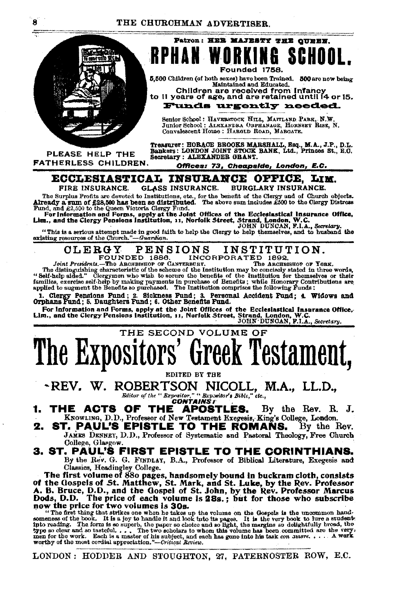

PLEASE HELP THE FATHERLESS CHILDREN.

K & Founded 1758

Patron: HER MAJESTY THE QUEEN.

5,500 Children (of both sexes) have been Trained. 500 are now being Maintained and Educated.

Children are received from Infancy<br>to 11 years of age, and are retained until 14 or 15. **Funds urgently needed.** 

Senior School: HAVERSTOCK HILL, MAITLAND PARK, N.W.<br>Junior School: ALEXANDRA OBPHANAGE, HORNSET RISE, N.<br>Convalescent Home: HAROLD ROAD, MARGATE.

Treasurer: HORACE BROOKS MARSHALL, Esq., M.A., J.P., D.L.<br>Bankers: LONDON JOINT STOCK BANK, Ltd., Princes St., H.O.<br>Secretary: ALEXANDER GBANT.

Offices: 73, Cheapside, London, E.C.

#### ECCLESIASTICAL INSURANCE OFFICE, LIM.

FIRE INSURANCE. **GLASS INSURANCE. BURGLARY INSURANCE.** 

The Surplus Profits are devoted to Institutions, etc., for the benefit of the Clergy and of Church objects.<br>Already a sum of £28,500 has been so distributed. The above sum includes £500 to the Olergy Distress Fund, and £2,

"This is a serious attempt made in good faith to help the Clergy to help themselves, and to husband the existing resources of the Church."-Guardian.

#### INSTITUTION. **CLERGY PENSIONS INCORPORATED 1892.** FOUNDED 1886.

Joint Presidents.-The ARCHBISHOP OF CANTERBURY. The ARCHBISHOP OF YORK. The distinguishing characteristic of the scheme of the Institution may be concleedy stated in three words, "Self-help sided." Clergymen who wish to secure the benefits of the Institution for themselves or their families, e

1. Clergy Pensions Fund; 2. Sickness Fund; 3. Personal Accident Fund; 4. Widows and Orphans Fund; 5. Daughters Fund; 6. Other Benefits Fund.

For Information and Forms, apply at the Joint Offices of the Ecclesiastical Insurance Office,<br>Lim., and the Clergy Pensions Institution, 11, Norfolk Street, Strand, London, W.C.<br>DOHN DUNOAN, F.I.A., Secretary.

### THE SECOND VOLUME OF The Expositors' Greek Testament,

EDITED BY THE

-REV. W. ROBERTSON NICOLL, M.A., LL.D., Editor of the "Expositor," "Expositor's Bible," etc.,

- THE ACTS OF THE **APOSTLES.** By the Rev. R. J. KNOWLING, D.D., Professor of New Testament Exegesis, King's College, London.
- 2. ST. PAUL'S EPISTLE TO THE ROMANS. By the Rev. JAMES DENNEY, D.D., Professor of Systematic and Pastoral Theology, Free Church College, Glasgow.
- 3. ST. PAUL'S FIRST EPISTLE TO THE CORINTHIANS. By the Rev. G. G. FINDLAY, B.A., Professor of Biblical Literature, Exegesis and Classics, Headingley College.

The first volume of 880 pages, handsomely bound in buckram cloth, consists of the Gospels of St. Matthew, St. Mark, and St. Luke, by the Rev. Professor A. B. Bruce, D.D., and the Gospel of St. John, by the Rev. Professor Marcus Dods, D.D. The price of each volume is 28s.; but for those who subscr now the price for two volumes is 30s.

The first thing that strikes one when he das up the volume on the Gospels is the uncommon hand-<br>someness of the book. It is a joy to handle it and look into its pages. It is the very book to lure a student<br>into reading. T

LONDON: HODDER AND STOUGHTON, 27, PATERNOSTER ROW, E.C.

R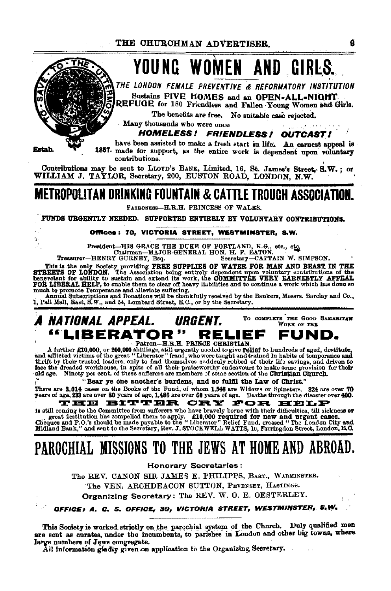## YOUNG WOMEN AND CIRLS.

THE LONDON FEMALE PREVENTIVE & REFORMATORY INSTITUTION Sustains FIVE HOMES and an OPEN-ALL-NIGHT

REFUGE for 180 Friendless and Fallen Young Women and Girls.

The benefits are free. No suitable case rejected.

Many thousands who were once

**HOMELESS! FRIENDLESS! OUTCAST!** 

Estab.

ŕ,

have been assisted to make a fresh start in life. An earnest appeal is 1857. made for support, as the entire work is dependent upon voluntary contributions.

Contributions may be sent to LLOYD's BANK, Limited, 16, St. James's Street, S.W.; or WILLIAM J. TAYLOR, Secretary, 200, EUSTON ROAD, LONDON, N.W.

### **METROPOLITAN DRINKING FOUNTAIN & CATTLE TROUGH ASSOCIATION.**

PATRONESS-H.R.H. PRINCESS OF WALES.

FUNDS URGENTLY NEEDED. SUPPORTED ENTIRELY BY VOLUNTARY CONTRIBUTIONS.

#### Offices: 70, VICTORIA STREET, WESTMINSTER, S.W.

President-HIS GRACE THE DUKE OF PORTLAND, K.G., etc., etc., chairman-MAJOR-GENERAL HON. H. F. EATON.

Treasurer-HENRY GURNEY, Esq. Secretary-CAPTAIN W. SIMPSON.

This is the only Society providing FREE SUPPLIES OF WATER FOR MAN AND BEAST IN THE STREETS OF LONDON. The Association being entirely dependent upon voluntary contributions of the benevolent for ability to sustain and exten much to promote Temperance and alloviate suffering.<br>
Annual Subscriptions and Donations will be thankfully received by the Bankers, Messrs. Barclay and Co.,

1, Pall Mall, East, S.W., and 54, Lombard Street, E.C., or by the Secretary.

#### TO COMPLETE THE GOOD SAMARITAN A NATIONAL APPEAL. URGENT. WORK OF THE "LIBERATOR" RELIEF FUND. Patron-H.R.H. PRINCE CHRISTIAN.

A further £10,000, or 200,000 shillings, still urgently needed to give relief to hundreds of aged, destitute,<br>and afflicted victims of the great "Liberator" fraud, who were taught and trained in habite of temperance and<br>th

"Bear ye one another's burdens, and so fulfil the Law of Christ."

There are 3,014 cases on the Books of the Fund, of whom 1,548 are Widows or Spinsters. 824 are over 70 years of age, 233 are over 80 years of age, 1,486 are over 60 years of age. THE BITTER CRY FOR HELP

is still coming to the Committee from sufferers who have bravely borne with their difficulties, till sickness or

is suit commuted for the summarized for the state of the commuted for the and urgent cases.<br>The case of the compelied them to apply.  $\pounds 19,000$  required for new and urgent cases.<br>Cheques and P.O.'s should be made payable

### PAROCHIAL MISSIONS TO THE JEWS AT HOME AND ABROAD.

**Honorary Secretaries:** 

The REV. CANON SIR JAMES E. PHILIPPS, BABT., WARMINSTER. The VEN, ARCHDEACON SUTTON, PEVENSEY, HASTINGS.

Organizing Secretary: The REV. W. O. E. OESTERLEY.

#### office: A. C. S. Office, 39, victoria street, westminster, S.W.

This Society is worked strictly on the parochial system of the Chnrch. Duly qualified men are sent as curates, under the incumbents, to parishes in London and other big towns, where large numbers of Jews congregate.

All information gladly given on application to the Organizing Secretary.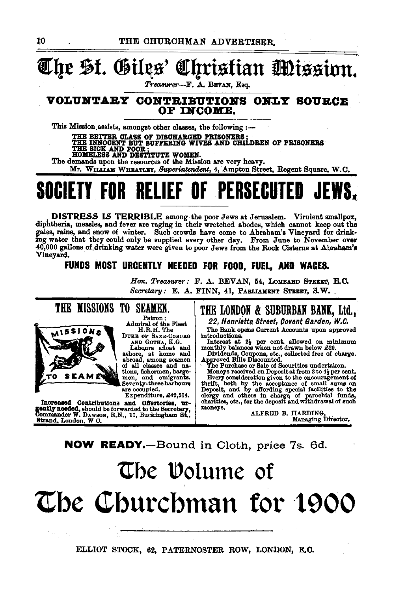### *1Eqt* ~f. ®illls' f!!qrisfian Jmissinn.

*Treasurer-F.* A. BBVAN, Esq.

#### VOLUNTARY CONTRIBUTIONS ONLY SOURCE OF INCOME.

This Mission assists, amongst other classes, the following :-

THE BETTER CLASS OF DISCHARGED PRISONERS ;<br>THE INNOCENT BUT SUFFERING WIVES AND CHILDREN OF PRISONERS<br>THE SICK AND POOR ;<br>HOMELESS AND DESTITUTE WOMEN.

The demands upon the resources of the Mission are very heavy.

Mr. WILLIAM WHEATLEY, Superintendent, 4, Ampton Street, Regent Square, W.C.

## SOCIETY FOR RELIEF OF PERSECUTED

. DISTRESS IS TERRIBLE among the poor Jews at Jerusalem. Virulent smallpox, diphtheria, measles, and fever are raging in their wretched abodes, which cannot keep out the gales, rains, and snow of winter. Such crowds have come to Abraham's Vineyard for drinking water that they could only be supplied every other day. From June to November over 40,000 gallons of drinking water were given to p 40,000 gallons of drinking water were given to poor Jews from the Rock Cisterns at Abraham's Vineyard.

FUNDS MOST URGENTLY NEEDED FOR FOOD, FUEL, AND WAGES.

*Hon. Treasurer: F. A. BEVAN, 54, LOMBARD STREET, E.C. Secretary:* E. A. FINN, 41, PABLIAMENT STREET, S.W.



Patron: Admiral of the Fleet H.R.H. The

DUKE OF SAXE-COBURG<br>AND GOTHA, K.G.<br>Labours afloat and<br>ashore, at home and of all classes and na-<br>tions, fishermen, barge-<br>men, and emigrants.<br>Seventy-three harbours<br>are occupied.

Expenditure, £42,514.

Increased Contributions and Offertories, urgently needed, should be forwarded to the Secretary, Commander W. DAWSON, R.N., 11, Buckingbam St... Commander W. DAWSON, R.N., 11, Buckingham St.<br>Strand, London, W C.

#### THE LONDON & SUBURBAN BANK, Ltd.,

22, Henrietta Street, Covent Garden, W.C.<br>The Bank opens Current Accounts upon approved The Bank opens Current Accounts upon approved<br>
introductions.<br>
Interest at 2} per cent. allowed on minimum<br>
monthly balances when not drawn below £20.

Dividends, Coupons, etc., oblected free of charge.<br>Approved Bills Discounted.<br>The Purchase or Sale of Securities undertaken.<br>Moneys received on Depositat from 3 to 44 per cent.<br>Every consideration given to the encouragemen

Every consideration given to the encouragement of thrift, both by the acceptance of small sums on Deposit, and by affording special facilities to the clergy and others in charge of parochial funds, charities, etc., for the deposit and withdrawal of such

moneys. ALFRED B. HARDING, Managing Director.

NOW READY.-Bound in Cloth, price 7s. 6d.

## The Volume of The Churchman for 1900

ELLIOT STOCK, 62, PATERNOSTER ROW, LONDON, E.C.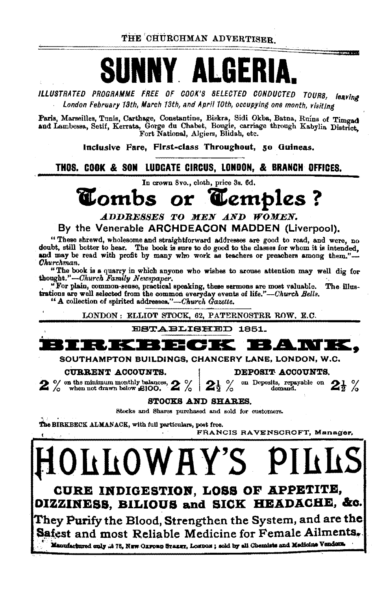THE CHURCHMAN ADVERTISER

ILLUSTRATED PROGRAMME FREE OF COOK'S SELECTED CONDUCTED TOURS, leaving London February 13th, March 13th, and April 10th, occupying one month, visiting

Paris, Marseilles, Tunis, Carthage, Constantine, Biskra, Sidi Okba, Batna, Ruins of Timgad and Lambessa, Setif, Kerrata, Gorge du Chabet, Bougie, carriage through Kabylia District. Fort National, Algiers, Blidah, etc.

Inclusive Fare, First-class Throughout, 50 Guineas,

THOS. COOK & SON LUDGATE CIRCUS, LONDON, & BRANCH OFFICES.

In crown 8vo., cloth, price 3s. 6d.

#### Lombs **C**embles ? **Or**

ADDRESSES TO MEN AND WOMEN. By the Venerable ARCHDEACON MADDEN (Liverpool).

"These shrewd, wholesome and straightforward addresses are good to read, and were, no doubt, still better to hear. The book is sure to do good to the classes for whom it is intended, and may be read with profit by many who work as teachers or preachers among them."-Churchman.

"The book is a quarry in which anyone who wishes to arouse attention may well dig for thought."-Church Family Newspaper.

"For plain, common-sense, practical speaking, these sermons are most valuable. The illustrations are well selected from the common everyday events of life."-Church Bells.

" A collection of spirited addresses."-Church Gazette.

LONDON: ELLIOT STOCK, 62, PATERNOSTRR ROW, E.C.

ESTABLISHED 1851.



SOUTHAMPTON BUILDINGS, CHANCERY LANE, LONDON, W.C.

CURRENT ACCOUNTS.

DEPOSIT ACCOUNTS.

 $2\frac{1}{2}$  %

 $2\%$  on the minimum monthly balances,  $\frac{1}{2}$  when not drawn below £100.  $\boldsymbol{z}$  /

on Deposits, repayable on demand.

STOCKS AND SHARES.

Stocks and Shares purchased and sold for customers.

The BIRKBECK ALMANACK, with full particulars, post free.

FRANCIS RAVENSCROFT, Manager,

**LLOWAY'S F** CURE INDIGESTION, LOSS OF APPETITE, OIZZINESS, BILIOUS and SICK HEADACHE, &c. They Purify the Blood, Strengthen the System, and are the Safest and most Reliable Medicine for Female Ailments. Manufactured only .: 18, NEW OLFORD STREET, LOEDON; sold by all Chemists and Medicine Venders.